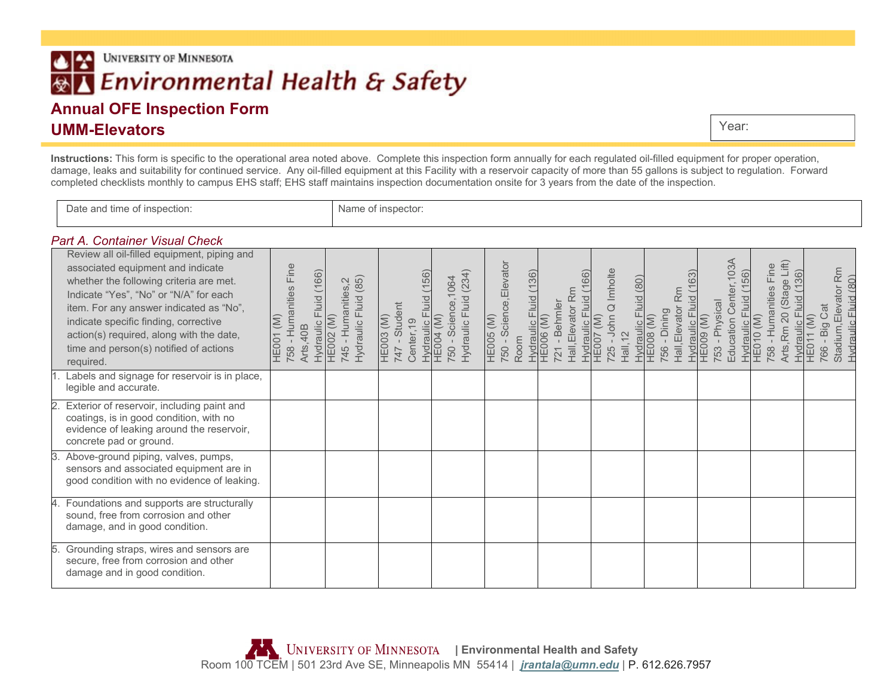# **UNIVERSITY OF MINNESOTA** IX. Environmental Health & Safety

## **Annual OFE Inspection Form UMM-Elevators**

Year:

**Instructions:** This form is specific to the operational area noted above. Complete this inspection form annually for each regulated oil-filled equipment for proper operation, damage, leaks and suitability for continued service. Any oil-filled equipment at this Facility with a reservoir capacity of more than 55 gallons is subject to regulation. Forward completed checklists monthly to campus EHS staff; EHS staff maintains inspection documentation onsite for 3 years from the date of the inspection.

| )ate<br>and fime<br>лю<br>.<br>the contract of the contract of the contract of the contract of the contract of | н н |
|----------------------------------------------------------------------------------------------------------------|-----|

#### *Part A. Container Visual Check*

|    | Review all oil-filled equipment, piping and<br>associated equipment and indicate<br>whether the following criteria are met.<br>Indicate "Yes", "No" or "N/A" for each<br>item. For any answer indicated as "No",<br>indicate specific finding, corrective<br>action(s) required, along with the date, | 758 - Humanities Fine<br><b>Fluid</b> (166)<br><b>HE001 (M)</b><br>Hydraulic<br>Arts, 40B | Hydraulic Fluid (85)<br>745 - Humanities, 2<br><b>HE002 (M)</b> | (156)<br>747 - Student<br><b>HE003 (M)</b><br>Center, 19 | (234)<br>1064<br>Hydraulic Fluid<br>Hydraulic Fluid<br>HE004 (M)<br>750 - Science | 750 - Science, Elevator<br><b>HE005 (M)</b> | Hydraulic Fluid (136)<br>HE006 (M)<br>Hall, Elevator Rm<br>Fluid<br>- Behmler | Q Imholte<br>$725 -$ John<br>Hydraulic FI<br>HE007 (M)<br>Hall, 12 | Hydraulic Fluid (80)<br>HE008 (M)<br>Hall, Elevator Rm<br>756 - Dining | Education Center, 103A<br>Hydraulic Fluid (163)<br>HE009 (M)<br>753 - Physical | Arts, Rm 20 (Stage Lift)<br>758 - Humanities Fine<br>Hydraulic Fluid (156)<br>HE010 (M)<br>Hydraulic Fluid (136) | Stadium, Elevator Rm<br><b>Fluid (80)</b><br>- Big Cat<br>HE011 (M)<br>Hydraulic F |
|----|-------------------------------------------------------------------------------------------------------------------------------------------------------------------------------------------------------------------------------------------------------------------------------------------------------|-------------------------------------------------------------------------------------------|-----------------------------------------------------------------|----------------------------------------------------------|-----------------------------------------------------------------------------------|---------------------------------------------|-------------------------------------------------------------------------------|--------------------------------------------------------------------|------------------------------------------------------------------------|--------------------------------------------------------------------------------|------------------------------------------------------------------------------------------------------------------|------------------------------------------------------------------------------------|
|    | time and person(s) notified of actions<br>required.<br>Labels and signage for reservoir is in place,<br>legible and accurate.                                                                                                                                                                         |                                                                                           |                                                                 |                                                          |                                                                                   | Room                                        | 721                                                                           |                                                                    |                                                                        |                                                                                |                                                                                                                  | 766                                                                                |
|    | Exterior of reservoir, including paint and<br>coatings, is in good condition, with no<br>evidence of leaking around the reservoir,<br>concrete pad or ground.                                                                                                                                         |                                                                                           |                                                                 |                                                          |                                                                                   |                                             |                                                                               |                                                                    |                                                                        |                                                                                |                                                                                                                  |                                                                                    |
| З. | Above-ground piping, valves, pumps,<br>sensors and associated equipment are in<br>good condition with no evidence of leaking.                                                                                                                                                                         |                                                                                           |                                                                 |                                                          |                                                                                   |                                             |                                                                               |                                                                    |                                                                        |                                                                                |                                                                                                                  |                                                                                    |
| 4. | Foundations and supports are structurally<br>sound, free from corrosion and other<br>damage, and in good condition.                                                                                                                                                                                   |                                                                                           |                                                                 |                                                          |                                                                                   |                                             |                                                                               |                                                                    |                                                                        |                                                                                |                                                                                                                  |                                                                                    |
| 5. | Grounding straps, wires and sensors are<br>secure, free from corrosion and other<br>damage and in good condition.                                                                                                                                                                                     |                                                                                           |                                                                 |                                                          |                                                                                   |                                             |                                                                               |                                                                    |                                                                        |                                                                                |                                                                                                                  |                                                                                    |